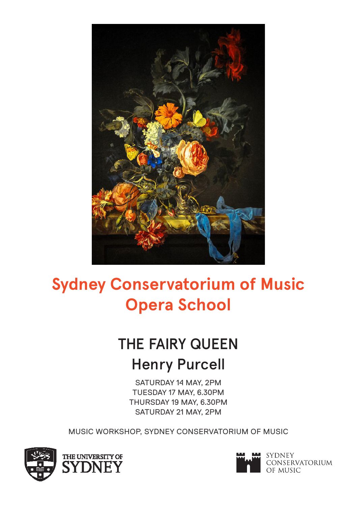

# **Sydney Conservatorium of Music Opera School**

## THE FAIRY QUEEN Henry Purcell

SATURDAY 14 MAY, 2PM TUESDAY 17 MAY, 6.30PM THURSDAY 19 MAY, 6.30PM SATURDAY 21 MAY, 2PM

MUSIC WORKSHOP, SYDNEY CONSERVATORIUM OF MUSIC



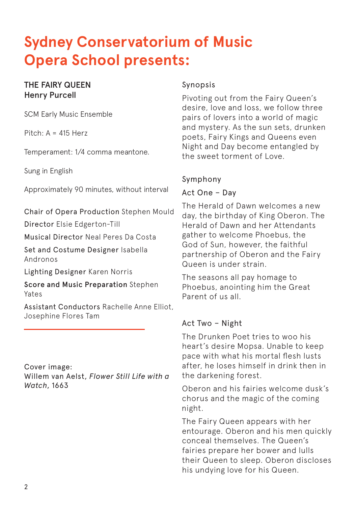### **Sydney Conservatorium of Music Opera School presents:**

#### THE FAIRY QUEEN Henry Purcell

SCM Early Music Ensemble

Pitch: A = 415 Herz

Temperament: 1/4 comma meantone.

Sung in English

Approximately 90 minutes, without interval

Chair of Opera Production Stephen Mould

Director Elsie Edgerton-Till

Musical Director Neal Peres Da Costa

Set and Costume Designer Isabella Andronos

Lighting Designer Karen Norris

Score and Music Preparation Stephen Yates

Assistant Conductors Rachelle Anne Elliot, Josephine Flores Tam

Cover image: Willem van Aelst, *Flower Still Life with a Watch*, 1663

#### Synopsis

Pivoting out from the Fairy Queen's desire, love and loss, we follow three pairs of lovers into a world of magic and mystery. As the sun sets, drunken poets, Fairy Kings and Queens even Night and Day become entangled by the sweet torment of Love.

#### Symphony

#### Act One – Day

The Herald of Dawn welcomes a new day, the birthday of King Oberon. The Herald of Dawn and her Attendants gather to welcome Phoebus, the God of Sun, however, the faithful partnership of Oberon and the Fairy Queen is under strain.

The seasons all pay homage to Phoebus, anointing him the Great Parent of us all.

### Act Two – Night

The Drunken Poet tries to woo his heart's desire Mopsa. Unable to keep pace with what his mortal flesh lusts after, he loses himself in drink then in the darkening forest.

Oberon and his fairies welcome dusk's chorus and the magic of the coming night.

The Fairy Queen appears with her entourage. Oberon and his men quickly conceal themselves. The Queen's fairies prepare her bower and lulls their Queen to sleep. Oberon discloses his undying love for his Queen.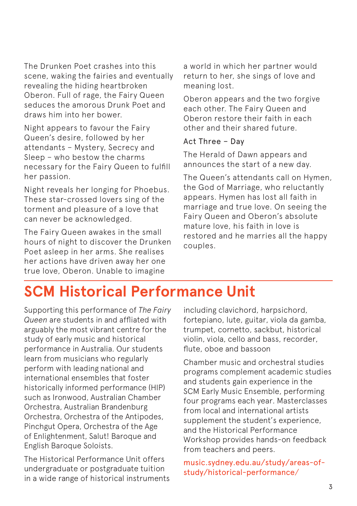The Drunken Poet crashes into this scene, waking the fairies and eventually revealing the hiding heartbroken Oberon. Full of rage, the Fairy Queen seduces the amorous Drunk Poet and draws him into her bower.

Night appears to favour the Fairy Queen's desire, followed by her attendants – Mystery, Secrecy and Sleep – who bestow the charms necessary for the Fairy Queen to fulfill her passion.

Night reveals her longing for Phoebus. These star-crossed lovers sing of the torment and pleasure of a love that can never be acknowledged.

The Fairy Queen awakes in the small hours of night to discover the Drunken Poet asleep in her arms. She realises her actions have driven away her one true love, Oberon. Unable to imagine

a world in which her partner would return to her, she sings of love and meaning lost.

Oberon appears and the two forgive each other. The Fairy Queen and Oberon restore their faith in each other and their shared future.

#### Act Three – Day

The Herald of Dawn appears and announces the start of a new day.

The Queen's attendants call on Hymen, the God of Marriage, who reluctantly appears. Hymen has lost all faith in marriage and true love. On seeing the Fairy Queen and Oberon's absolute mature love, his faith in love is restored and he marries all the happy couples.

### **SCM Historical Performance Unit**

Supporting this performance of *The Fairy Queen* are students in and affliated with arguably the most vibrant centre for the study of early music and historical performance in Australia. Our students learn from musicians who regularly perform with leading national and international ensembles that foster historically informed performance (HIP) such as Ironwood, Australian Chamber Orchestra, Australian Brandenburg Orchestra, Orchestra of the Antipodes, Pinchgut Opera, Orchestra of the Age of Enlightenment, Salut! Baroque and English Baroque Soloists.

The Historical Performance Unit offers undergraduate or postgraduate tuition in a wide range of historical instruments including clavichord, harpsichord, fortepiano, lute, guitar, viola da gamba, trumpet, cornetto, sackbut, historical violin, viola, cello and bass, recorder, flute, oboe and bassoon

Chamber music and orchestral studies programs complement academic studies and students gain experience in the SCM Early Music Ensemble, performing four programs each year. Masterclasses from local and international artists supplement the student's experience, and the Historical Performance Workshop provides hands-on feedback from teachers and peers.

music.sydney.edu.au/study/areas-ofstudy/historical-performance/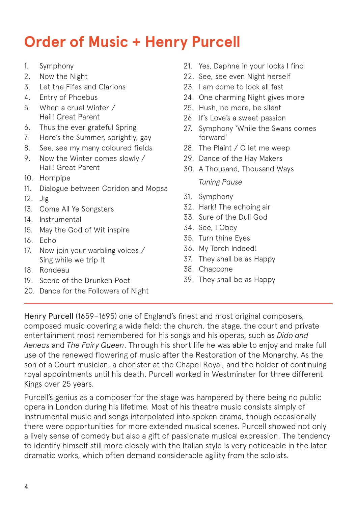### **Order of Music + Henry Purcell**

- 1. Symphony
- 2. Now the Night
- 3. Let the Fifes and Clarions
- 4. Entry of Phoebus
- 5. When a cruel Winter / Hail! Great Parent
- 6. Thus the ever grateful Spring
- 7. Here's the Summer, sprightly, gay
- 8. See, see my many coloured fields
- 9. Now the Winter comes slowly / Hail! Great Parent
- 10. Hornpipe
- 11. Dialogue between Coridon and Mopsa
- 12. Jig
- 13. Come All Ye Songsters
- 14. Instrumental
- 15. May the God of Wit inspire
- 16. Echo
- 17. Now join your warbling voices / Sing while we trip It
- 18. Rondeau
- 19. Scene of the Drunken Poet
- 20. Dance for the Followers of Night
- 21. Yes, Daphne in your looks I find
- 22. See, see even Night herself
- 23. I am come to lock all fast
- 24. One charming Night gives more
- 25. Hush, no more, be silent
- 26. If's Love's a sweet passion
- 27. Symphony 'While the Swans comes forward'
- 28. The Plaint / O let me weep
- 29. Dance of the Hay Makers
- 30. A Thousand, Thousand Ways *Tuning Pause*
- 31. Symphony
- 32. Hark! The echoing air
- 33. Sure of the Dull God
- 34. See, I Obey
- 35. Turn thine Eyes
- 36. My Torch Indeed!
- 37. They shall be as Happy
- 38. Chaccone
- 39. They shall be as Happy

Henry Purcell (1659–1695) one of England's finest and most original composers, composed music covering a wide field: the church, the stage, the court and private entertainment most remembered for his songs and his operas, such as *Dido and Aeneas* and *The Fairy Queen*. Through his short life he was able to enjoy and make full use of the renewed flowering of music after the Restoration of the Monarchy. As the son of a Court musician, a chorister at the Chapel Royal, and the holder of continuing royal appointments until his death, Purcell worked in Westminster for three different Kings over 25 years.

Purcell's genius as a composer for the stage was hampered by there being no public opera in London during his lifetime. Most of his theatre music consists simply of instrumental music and songs interpolated into spoken drama, though occasionally there were opportunities for more extended musical scenes. Purcell showed not only a lively sense of comedy but also a gift of passionate musical expression. The tendency to identify himself still more closely with the Italian style is very noticeable in the later dramatic works, which often demand considerable agility from the soloists.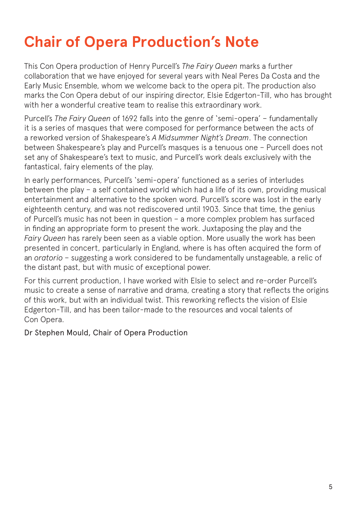### **Chair of Opera Production's Note**

This Con Opera production of Henry Purcell's *The Fairy Queen* marks a further collaboration that we have enjoyed for several years with Neal Peres Da Costa and the Early Music Ensemble, whom we welcome back to the opera pit. The production also marks the Con Opera debut of our inspiring director, Elsie Edgerton-Till, who has brought with her a wonderful creative team to realise this extraordinary work.

Purcell's *The Fairy Queen* of 1692 falls into the genre of 'semi-opera' – fundamentally it is a series of masques that were composed for performance between the acts of a reworked version of Shakespeare's *A Midsummer Night's Dream*. The connection between Shakespeare's play and Purcell's masques is a tenuous one – Purcell does not set any of Shakespeare's text to music, and Purcell's work deals exclusively with the fantastical, fairy elements of the play.

In early performances, Purcell's 'semi-opera' functioned as a series of interludes between the play – a self contained world which had a life of its own, providing musical entertainment and alternative to the spoken word. Purcell's score was lost in the early eighteenth century, and was not rediscovered until 1903. Since that time, the genius of Purcell's music has not been in question – a more complex problem has surfaced in finding an appropriate form to present the work. Juxtaposing the play and the *Fairy Queen* has rarely been seen as a viable option. More usually the work has been presented in concert, particularly in England, where is has often acquired the form of an *oratorio* – suggesting a work considered to be fundamentally unstageable, a relic of the distant past, but with music of exceptional power.

For this current production, I have worked with Elsie to select and re-order Purcell's music to create a sense of narrative and drama, creating a story that reflects the origins of this work, but with an individual twist. This reworking reflects the vision of Elsie Edgerton-Till, and has been tailor-made to the resources and vocal talents of Con Opera.

Dr Stephen Mould, Chair of Opera Production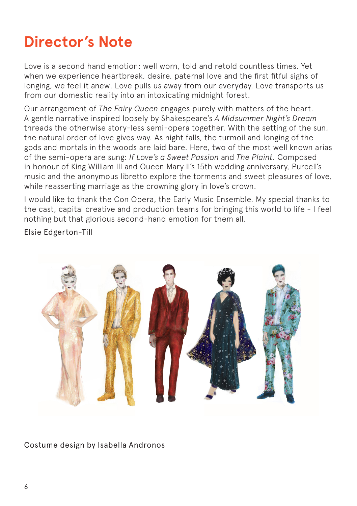### **Director's Note**

Love is a second hand emotion: well worn, told and retold countless times. Yet when we experience heartbreak, desire, paternal love and the first fitful sighs of longing, we feel it anew. Love pulls us away from our everyday. Love transports us from our domestic reality into an intoxicating midnight forest.

Our arrangement of *The Fairy Queen* engages purely with matters of the heart. A gentle narrative inspired loosely by Shakespeare's *A Midsummer Night's Dream* threads the otherwise story-less semi-opera together. With the setting of the sun, the natural order of love gives way. As night falls, the turmoil and longing of the gods and mortals in the woods are laid bare. Here, two of the most well known arias of the semi-opera are sung: *If Love's a Sweet Passion* and *The Plaint*. Composed in honour of King William III and Queen Mary II's 15th wedding anniversary, Purcell's music and the anonymous libretto explore the torments and sweet pleasures of love, while reasserting marriage as the crowning glory in love's crown.

I would like to thank the Con Opera, the Early Music Ensemble. My special thanks to the cast, capital creative and production teams for bringing this world to life - I feel nothing but that glorious second-hand emotion for them all.

Elsie Edgerton-Till



Costume design by Isabella Andronos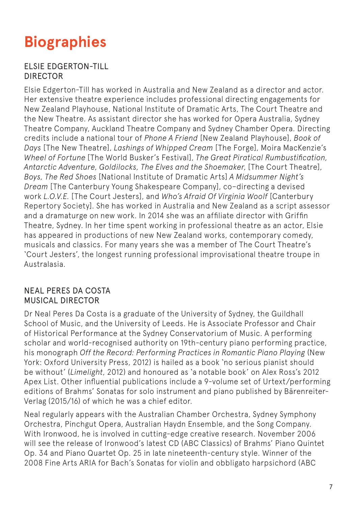### **Biographies**

#### ELSIE EDGERTON-TILL DIRECTOR

Elsie Edgerton-Till has worked in Australia and New Zealand as a director and actor. Her extensive theatre experience includes professional directing engagements for New Zealand Playhouse, National Institute of Dramatic Arts, The Court Theatre and the New Theatre. As assistant director she has worked for Opera Australia, Sydney Theatre Company, Auckland Theatre Company and Sydney Chamber Opera. Directing credits include a national tour of *Phone A Friend* [New Zealand Playhouse], *Book of Days* [The New Theatre], *Lashings of Whipped Cream* [The Forge], Moira MacKenzie's *Wheel of Fortune* [The World Busker's Festival], *The Great Piratical Rumbustification, Antarctic Adventure, Goldilocks, The Elves and the Shoemaker*, [The Court Theatre], *Boys, The Red Shoes* [National Institute of Dramatic Arts] *A Midsummer Night's Dream* [The Canterbury Young Shakespeare Company], co–directing a devised work *L.O.V.E.* [The Court Jesters], and *Who's Afraid Of Virginia Woolf* [Canterbury Repertory Society]. She has worked in Australia and New Zealand as a script assessor and a dramaturge on new work. In 2014 she was an affiliate director with Griffin Theatre, Sydney. In her time spent working in professional theatre as an actor, Elsie has appeared in productions of new New Zealand works, contemporary comedy, musicals and classics. For many years she was a member of The Court Theatre's 'Court Jesters', the longest running professional improvisational theatre troupe in Australasia.

#### NEAL PERES DA COSTA MUSICAL DIRECTOR

Dr Neal Peres Da Costa is a graduate of the University of Sydney, the Guildhall School of Music, and the University of Leeds. He is Associate Professor and Chair of Historical Performance at the Sydney Conservatorium of Music. A performing scholar and world-recognised authority on 19th-century piano performing practice, his monograph *Off the Record: Performing Practices in Romantic Piano Playing* (New York: Oxford University Press, 2012) is hailed as a book 'no serious pianist should be without' (*Limelight*, 2012) and honoured as 'a notable book' on Alex Ross's 2012 Apex List. Other influential publications include a 9-volume set of Urtext/performing editions of Brahms' Sonatas for solo instrument and piano published by Bärenreiter-Verlag (2015/16) of which he was a chief editor.

Neal regularly appears with the Australian Chamber Orchestra, Sydney Symphony Orchestra, Pinchgut Opera, Australian Haydn Ensemble, and the Song Company. With Ironwood, he is involved in cutting-edge creative research. November 2006 will see the release of Ironwood's latest CD (ABC Classics) of Brahms' Piano Quintet Op. 34 and Piano Quartet Op. 25 in late nineteenth-century style. Winner of the 2008 Fine Arts ARIA for Bach's Sonatas for violin and obbligato harpsichord (ABC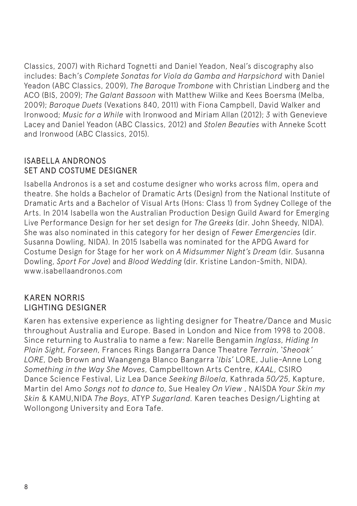Classics, 2007) with Richard Tognetti and Daniel Yeadon, Neal's discography also includes: Bach's *Complete Sonatas for Viola da Gamba and Harpsichord* with Daniel Yeadon (ABC Classics, 2009), *The Baroque Trombone* with Christian Lindberg and the ACO (BIS, 2009); *The Galant Bassoon* with Matthew Wilke and Kees Boersma (Melba, 2009); *Baroque Duets* (Vexations 840, 2011) with Fiona Campbell, David Walker and Ironwood; *Music for a While* with Ironwood and Miriam Allan (2012); *3* with Genevieve Lacey and Daniel Yeadon (ABC Classics, 2012) and *Stolen Beauties* with Anneke Scott and Ironwood (ABC Classics, 2015).

#### ISABELLA ANDRONOS SET AND COSTUME DESIGNER

Isabella Andronos is a set and costume designer who works across film, opera and theatre. She holds a Bachelor of Dramatic Arts (Design) from the National Institute of Dramatic Arts and a Bachelor of Visual Arts (Hons: Class 1) from Sydney College of the Arts. In 2014 Isabella won the Australian Production Design Guild Award for Emerging Live Performance Design for her set design for *The Greeks* (dir. John Sheedy, NIDA). She was also nominated in this category for her design of *Fewer Emergencies* (dir. Susanna Dowling, NIDA). In 2015 Isabella was nominated for the APDG Award for Costume Design for Stage for her work on *A Midsummer Night's Dream* (dir. Susanna Dowling, *Sport For Jove*) and *Blood Wedding* (dir. Kristine Landon-Smith, NIDA). www.isabellaandronos.com

#### KAREN NORRIS LIGHTING DESIGNER

Karen has extensive experience as lighting designer for Theatre/Dance and Music throughout Australia and Europe. Based in London and Nice from 1998 to 2008. Since returning to Australia to name a few: Narelle Bengamin *Inglass*, *Hiding In Plain Sight*, *Forseen*, Frances Rings Bangarra Dance Theatre *Terrain*, *'Sheoak' LORE*, Deb Brown and Waangenga Blanco Bangarra *'Ibis'* LORE, Julie-Anne Long *Something in the Way She Moves*, Campbelltown Arts Centre, *KAAL*, CSIRO Dance Science Festival, Liz Lea Dance *Seeking Biloela*, Kathrada *50/25*, Kapture, Martin del Amo *Songs not to dance to*, Sue Healey *On View* , NAISDA *Your Skin my Skin* & KAMU,NIDA *The Boys*, ATYP *Sugarland.* Karen teaches Design/Lighting at Wollongong University and Eora Tafe.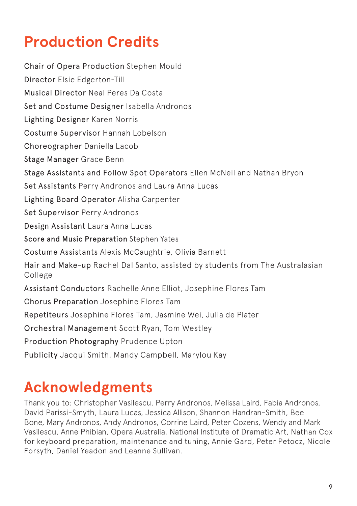### **Production Credits**

Chair of Opera Production Stephen Mould Director Elsie Edgerton-Till Musical Director Neal Peres Da Costa Set and Costume Designer Isabella Andronos Lighting Designer Karen Norris Costume Supervisor Hannah Lobelson Choreographer Daniella Lacob Stage Manager Grace Benn Stage Assistants and Follow Spot Operators Ellen McNeil and Nathan Bryon Set Assistants Perry Andronos and Laura Anna Lucas Lighting Board Operator Alisha Carpenter Set Supervisor Perry Andronos Design Assistant Laura Anna Lucas Score and Music Preparation Stephen Yates Costume Assistants Alexis McCaughtrie, Olivia Barnett Hair and Make-up Rachel Dal Santo, assisted by students from The Australasian College Assistant Conductors Rachelle Anne Elliot, Josephine Flores Tam Chorus Preparation Josephine Flores Tam Repetiteurs Josephine Flores Tam, Jasmine Wei, Julia de Plater Orchestral Management Scott Ryan, Tom Westley Production Photography Prudence Upton Publicity Jacqui Smith, Mandy Campbell, Marylou Kay

### **Acknowledgments**

Thank you to: Christopher Vasilescu, Perry Andronos, Melissa Laird, Fabia Andronos, David Parissi-Smyth, Laura Lucas, Jessica Allison, Shannon Handran-Smith, Bee Bone, Mary Andronos, Andy Andronos, Corrine Laird, Peter Cozens, Wendy and Mark Vasilescu, Anne Phibian, Opera Australia, National Institute of Dramatic Art, Nathan Cox for keyboard preparation, maintenance and tuning, Annie Gard, Peter Petocz, Nicole Forsyth, Daniel Yeadon and Leanne Sullivan.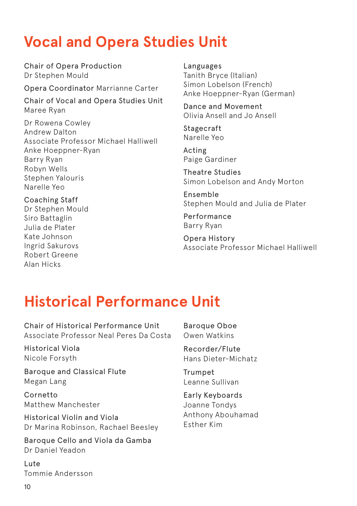### **Vocal and Opera Studies Unit**

Chair of Opera Production Dr Stephen Mould

Opera Coordinator Marrianne Carter

Chair of Vocal and Opera Studies Unit Maree Ryan

Dr Rowena Cowley Andrew Dalton Associate Professor Michael Halliwell Anke Hoeppner-Ryan Barry Ryan Robyn Wells Stephen Yalouris Narelle Yeo

Coaching Staff Dr Stephen Mould Siro Battaglin Julia de Plater Kate Johnson Ingrid Sakurovs Robert Greene Alan Hicks

Languages Tanith Bryce (Italian) Simon Lobelson (French) Anke Hoeppner-Ryan (German)

Dance and Movement Olivia Ansell and Jo Ansell

Stagecraft Narelle Yeo

Acting Paige Gardiner

Theatre Studies Simon Lobelson and Andy Morton

Ensemble Stephen Mould and Julia de Plater

Performance Barry Ryan

Opera History Associate Professor Michael Halliwell

### **Historical Performance Unit**

Chair of Historical Performance Unit Associate Professor Neal Peres Da Costa

Historical Viola Nicole Forsyth

Baroque and Classical Flute Megan Lang

Cornetto Matthew Manchester

Historical Violin and Viola Dr Marina Robinson, Rachael Beesley

Baroque Cello and Viola da Gamba Dr Daniel Yeadon

Lute Tommie Andersson

10

Baroque Oboe Owen Watkins

Recorder/Flute Hans Dieter-Michatz

Trumpet Leanne Sullivan

Early Keyboards Joanne Tondys Anthony Abouhamad Esther Kim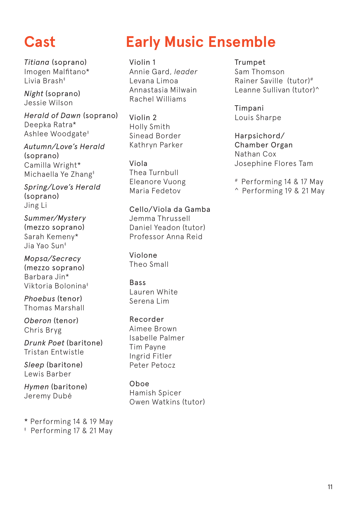*Titiana* (soprano) Imogen Malfitano\* Livia Brash‡

*Night* (soprano) Jessie Wilson

*Herald of Dawn* (soprano) Deepka Ratra\* Ashlee Woodgate‡

*Autumn/Love's Herald*  (soprano) Camilla Wright\* Michaella Ye Zhang‡

*Spring/Love's Herald*  (soprano) Jing Li

*Summer/Mystery*  (mezzo soprano) Sarah Kemeny\* Jia Yao Sun‡

*Mopsa/Secrecy*  (mezzo soprano) Barbara Jin\* Viktoria Bolonina‡

*Phoebus* (tenor) Thomas Marshall

*Oberon* (tenor) Chris Bryg

*Drunk Poet* (baritone) Tristan Entwistle

*Sleep* (baritone) Lewis Barber

*Hymen* (baritone) Jeremy Dubé

\* Performing 14 & 19 May

‡ Performing 17 & 21 May

## **Cast Early Music Ensemble**

Violin 1 Annie Gard, *leader* Levana Limoa Annastasia Milwain Rachel Williams

Violin 2 Holly Smith Sinead Border Kathryn Parker

Viola Thea Turnbull Eleanore Vuong Maria Fedetov

Cello/Viola da Gamba Jemma Thrussell Daniel Yeadon (tutor) Professor Anna Reid

Violone Theo Small

Bass Lauren White Serena Lim

Recorder Aimee Brown Isabelle Palmer Tim Payne Ingrid Fitler Peter Petocz

Oboe Hamish Spicer Owen Watkins (tutor) Trumpet Sam Thomson Rainer Saville (tutor)# Leanne Sullivan (tutor)^

Timpani Louis Sharpe

Harpsichord/ Chamber Organ Nathan Cox Josephine Flores Tam

# Performing 14 & 17 May

^ Performing 19 & 21 May